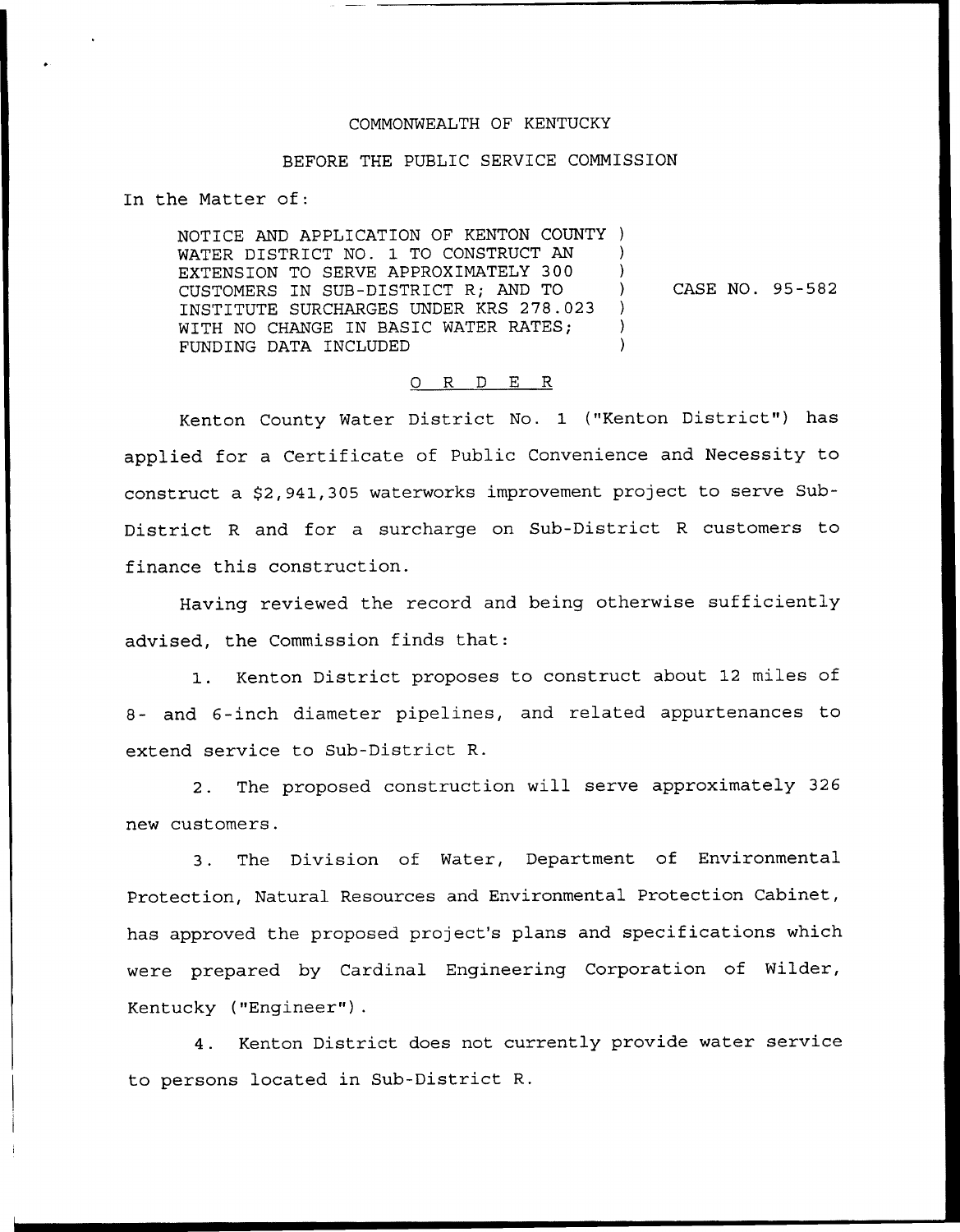### COMMONWEALTH OF KENTUCKY

## BEFORE THE PUBLIC SERVICE COMMISSION

In the Matter of:

NOTICE AND APPLICATION OF KENTON COUNTY ) WATER DISTRICT NO. 1 TO CONSTRUCT AN EXTENSION TO SERVE APPROXIMATELY 300 ) CUSTOMERS IN SUB-DISTRICT R; AND TO  $\left( \begin{array}{cc} 0 & 0 \\ 0 & 0 & 1 \end{array} \right)$ INSTITUTE SURCHARGES UNDER KRS 278.023 ) WITH NO CHANGE IN BASIC WATER RATES; FUNDING DATA INCLUDED )

CASE NO. 95-582

#### O R D E R

Kenton County Water District No. 1 ("Kenton District") has applied for a Certificate of Public Convenience and Necessity to construct a \$2,941,305 waterworks improvement project to serve Sub-District <sup>R</sup> and for a surcharge on Sub-District <sup>R</sup> customers to finance this construction.

Having reviewed the record and being otherwise sufficiently advised, the Commission finds that:

1. Kenton District proposes to construct about <sup>12</sup> miles of 8- and 6-inch diameter pipelines, and related appurtenances to extend service to Sub-District R.

2. The proposed construction will serve approximately 326 new customers.

3. The Division of Water, Department of Environmental Protection, Natural Resources and Environmental Protection Cabinet, has approved the proposed project's plans and specifications which were prepared by Cardinal Engineering Corporation of Wilder, Kentucky ("Engineer").

4. Kenton District does not currently provide water service to persons located in Sub-District R.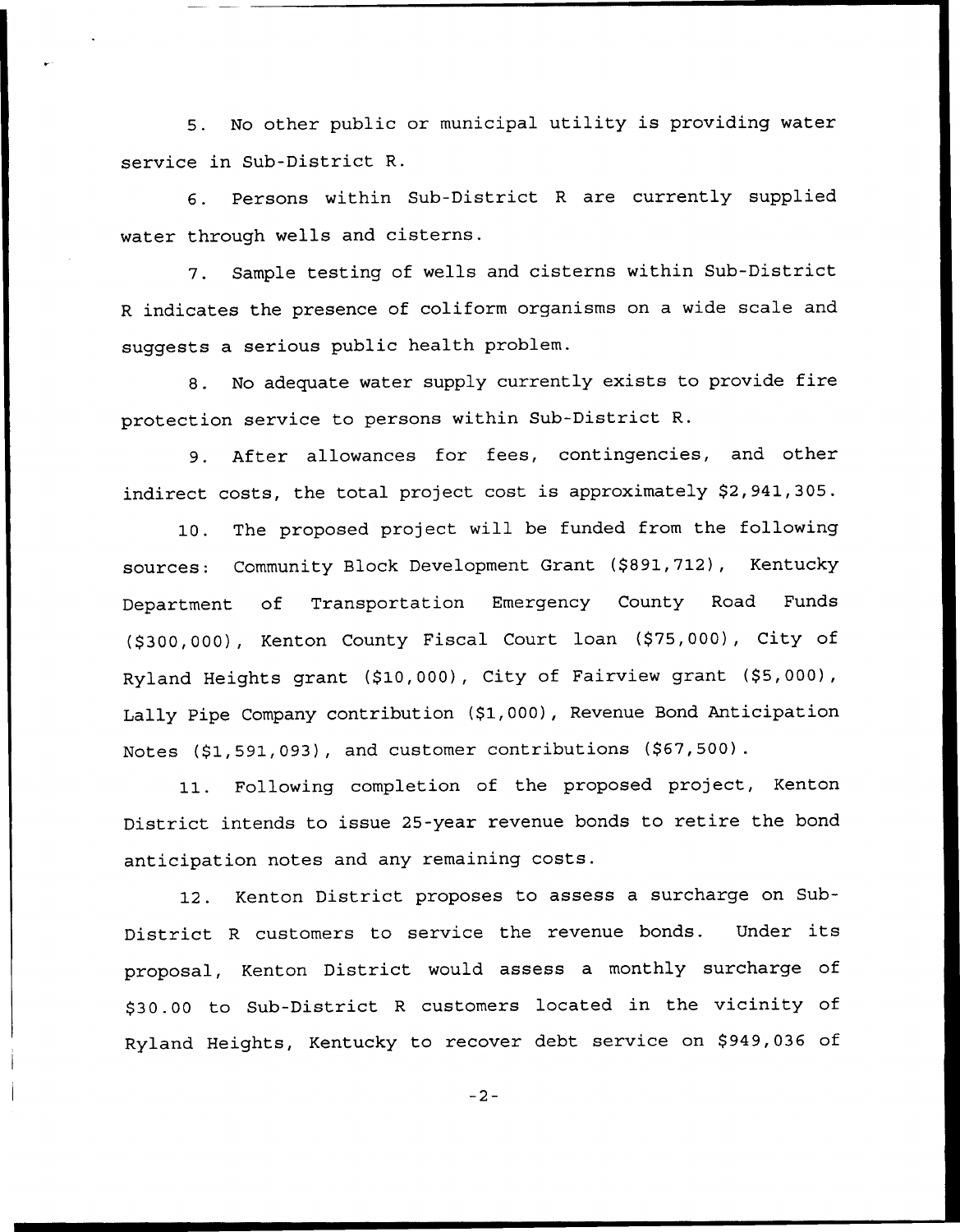5. No other public or municipal utility is providing water service in Sub-District R.

6. Persons within Sub-District <sup>R</sup> are currently supplied water through wells and cisterns.

7. Sample testing of wells and cisterns within Sub-District <sup>R</sup> indicates the presence of coliform organisms on a wide scale and suggests a serious public health problem.

8. No adequate water supply currently exists to provide fire protection service to persons within Sub-District R.

9. After allowances for fees, contingencies, and other indirect costs, the total project cost is approximately \$2,941,305.

10. The proposed project will be funded from the following sources: Community Block Development Grant (\$891,712), Kentucky Department of Transportation Emergency County Road Funds (\$300,000), Kenton County Fiscal Court loan (\$75,000), City of Ryland Heights grant (\$10,000), City of Fairview grant (\$5,000), Lally Pipe Company contribution (\$1,000), Revenue Bond Anticipation Notes (\$1,591,093), and customer contributions (\$67,500).

11. Following completion of the proposed project, Kenton District intends to issue 25-year revenue bonds to retire the bond anticipation notes and any remaining costs.

12. Kenton District proposes to assess a surcharge on Sub-District <sup>R</sup> customers to service the revenue bonds. Under its proposal, Kenton District would assess a monthly surcharge of \$ 30.00 to Sub-District <sup>R</sup> customers located in the vicinity of Ryland Heights, Kentucky to recover debt service on \$949,036 of

 $-2-$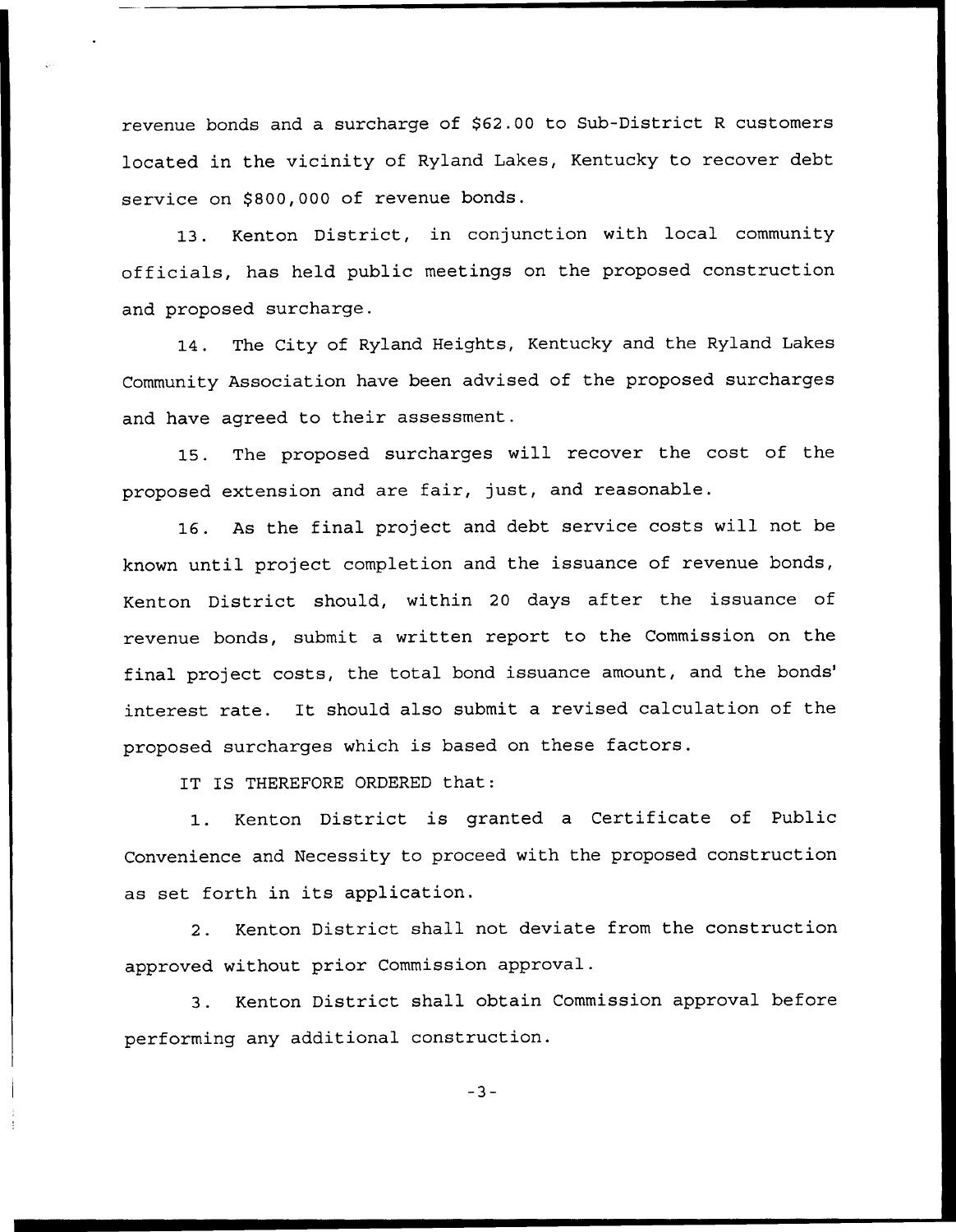revenue bonds and a surcharge of \$62.00 to Sub-District R customers located in the vicinity of Ryland Lakes, Kentucky to recover debt service on \$800,000 of revenue bonds.

13. Kenton District, in conjunction with local community officials, has held public meetings on the proposed construction and proposed surcharge.

14. The City of Ryland Heights, Kentucky and the Ryland Lakes Community Association have been advised of the proposed surcharges and have agreed to their assessment.

15. The proposed surcharges will recover the cost of the proposed extension and are fair, just, and reasonable.

16. As the final project and debt service costs will not be known until project completion and the issuance of revenue bonds, Kenton District should, within <sup>20</sup> days after the issuance of revenue bonds, submit a written report to the Commission on the final project costs, the total bond issuance amount, and the bonds' rate. It should also submit a revised calculation of the proposed surcharges which is based on these factors.

IT IS THEREFORE ORDERED that:

1. Kenton District is granted <sup>a</sup> Certificate of Public Convenience and Necessity to proceed with the proposed construction as set forth in its application.

2. Kenton District shall not deviate from the construction approved without prior Commission approval.

3. Kenton District shall obtain Commission approval before performing any additional construction.

 $-3-$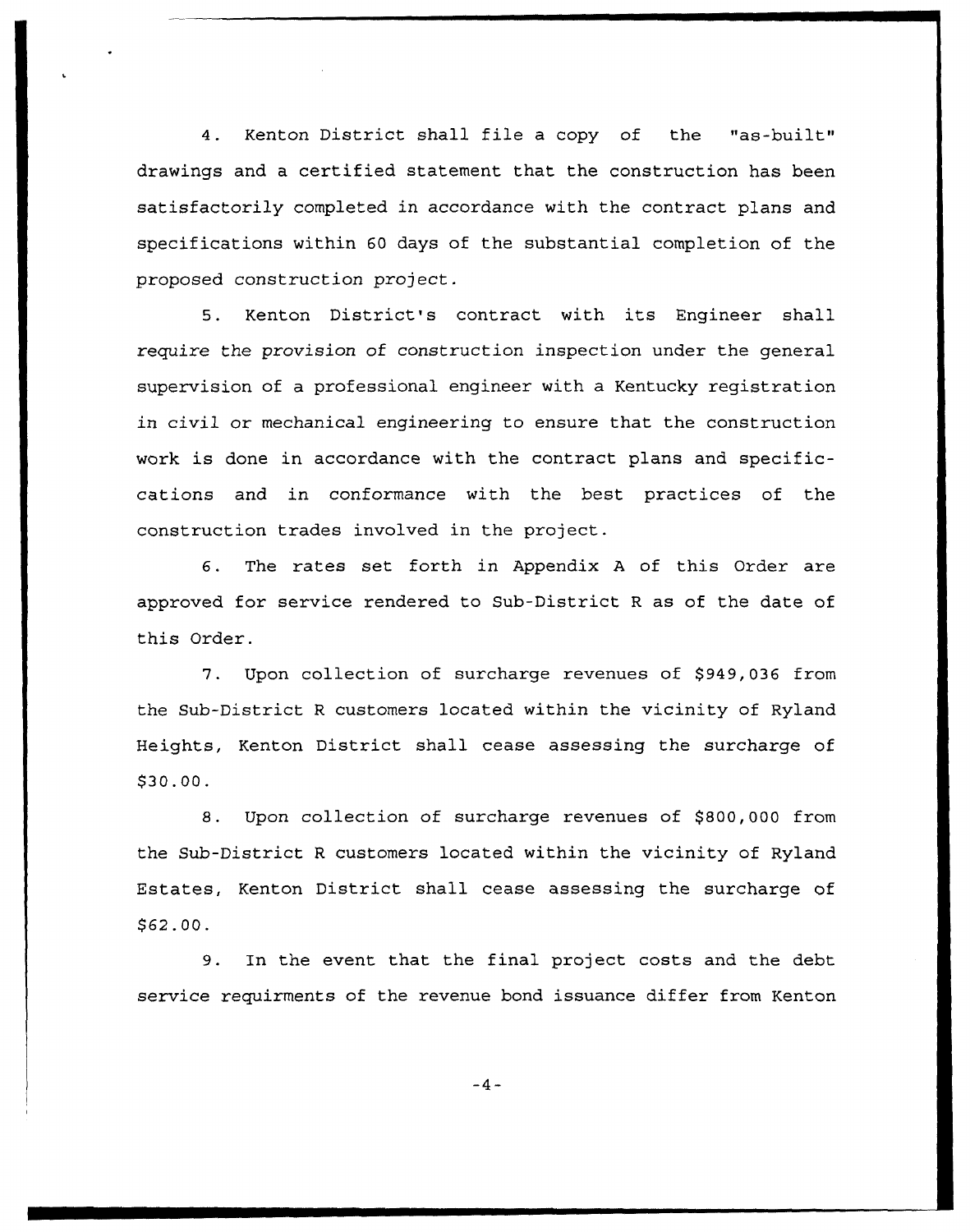4. Kenton District shall file <sup>a</sup> copy of the "as-built" drawings and a certified statement that the construction has been satisfactorily completed in accordance with the contract plans and specifications within 60 days of the substantial completion of the proposed construction project.

5. Kenton District's contract with its Engineer shall require the provision of construction inspection under the general supervision of a professional engineer with a Kentucky registration in civil or mechanical engineering to ensure that the construction work is done in accordance with the contract plans and specificcations and in conformance with the best practices of the construction trades involved in the project.

6. The rates set forth in Appendix <sup>A</sup> of this Order are approved for service rendered to Sub-District <sup>R</sup> as of the date of this Order.

7. Upon collection of surcharge revenues of \$949,036 from the Sub-District <sup>R</sup> customers located within the vicinity of Ryland Heights, Kenton District shall cease assessing the surcharge of \$30.00.

8. Upon collection of surcharge revenues of \$800,000 from the Sub-District <sup>R</sup> customers located within the vicinity of Ryland Estates, Kenton District shall cease assessing the surcharge of \$ 62.00.

9. In the event that the final project costs and the debt service requirments of the revenue bond issuance differ from Kenton

 $-4-$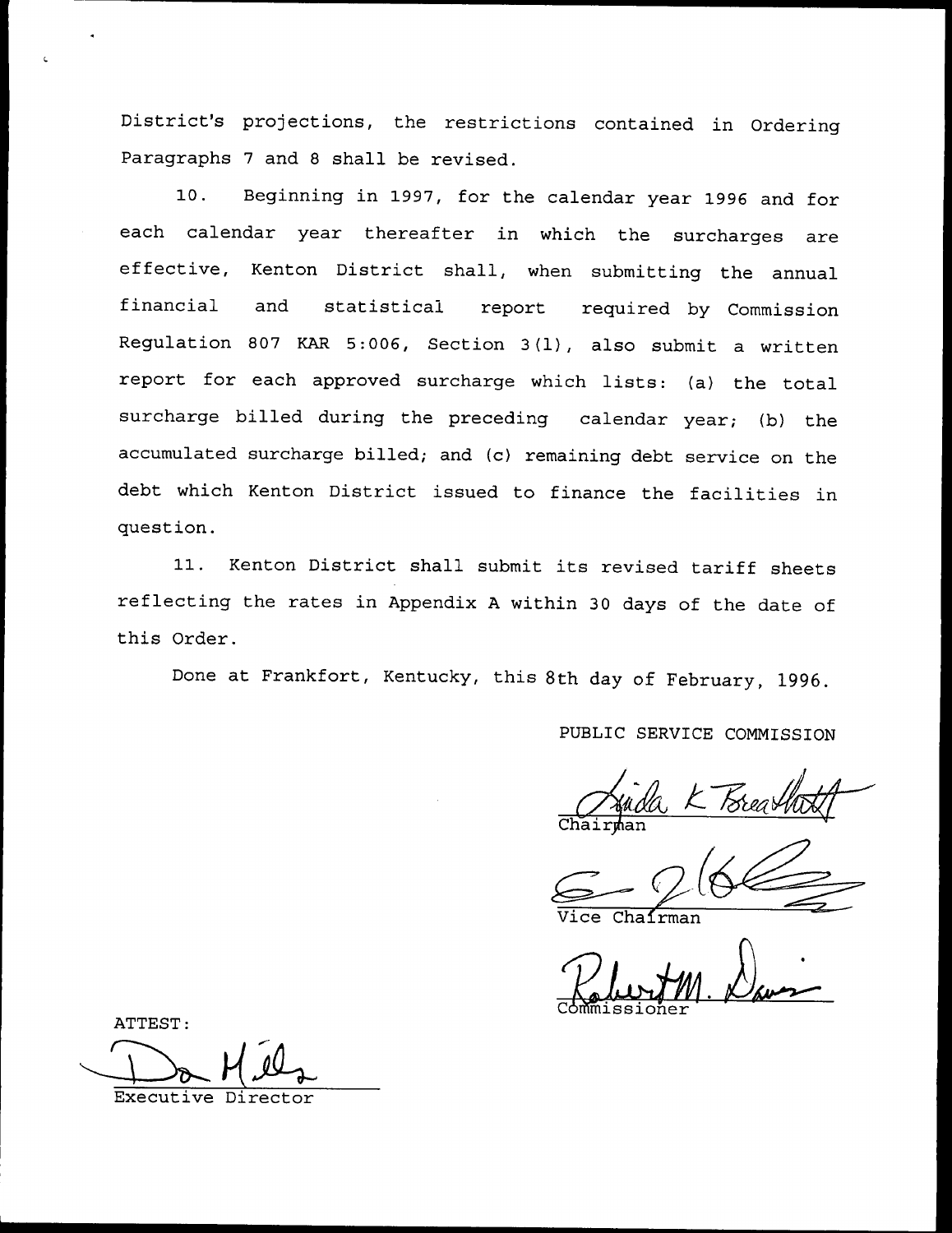District's projections, the restrictions contained in Ordering Paragraphs 7 and <sup>8</sup> shall be revised.

10. Beginning in 1997, for the calendar year 1996 and for each calendar year thereafter in which the surcharges are effective, Kenton District shall, when submitting the annual financial and statistical report required by Commission Regulation <sup>807</sup> KAR 5:006, Section 3(l), also submit <sup>a</sup> written report for each approved surcharge which lists: (a) the total surcharge billed during the preceding calendar year; (b) the accumulated surcharge billed; and (c) remaining debt service on the debt which Kenton District issued to finance the facilities in question.

11. Kenton District shall submit its revised tariff sheets reflecting the rates in Appendix <sup>A</sup> within <sup>30</sup> days of the date of this Order.

Done at Frankfort, Kentucky, this 8th day of February, 1996.

PUBLIC SERVICE COMMISSION

Chairman

 $Cha1$ rman

Commissione Vice Chairman

ATTEST

Executive